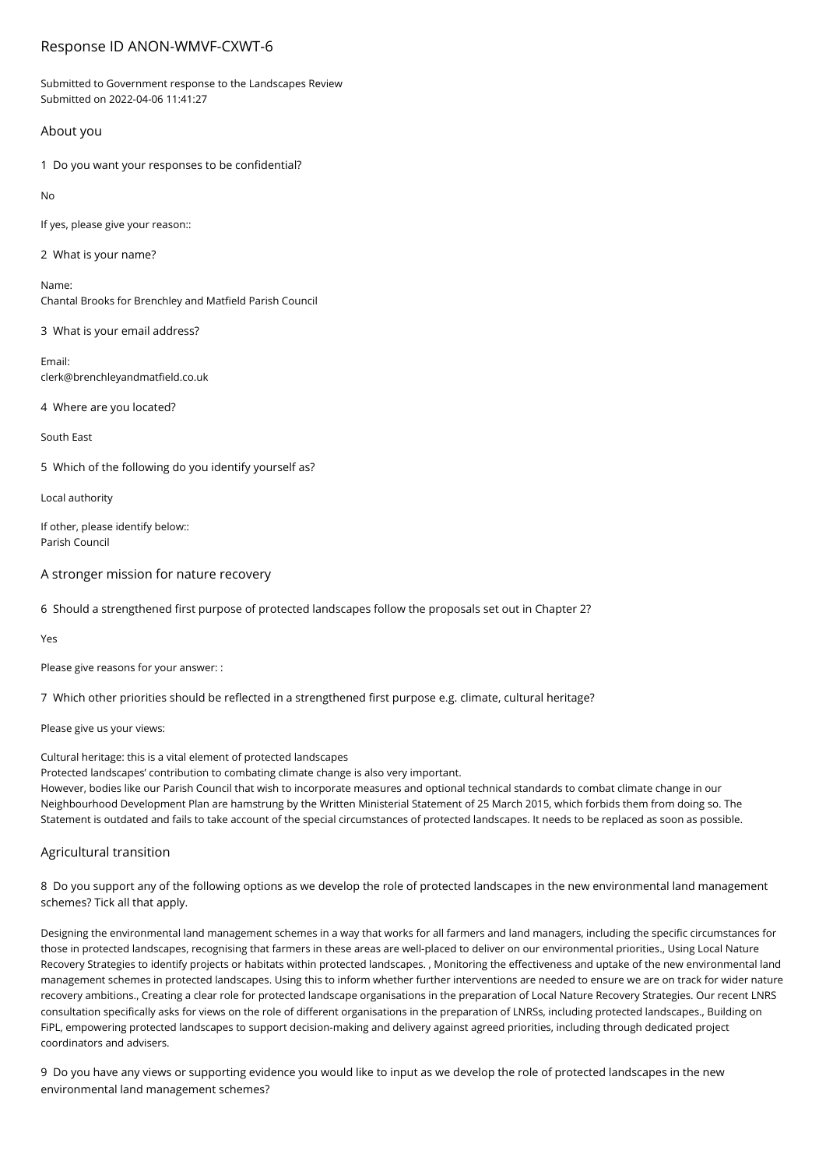# Response ID ANON-WMVF-CXWT-6

Submitted to Government response to the Landscapes Review Submitted on 2022-04-06 11:41:27

# About you

1 Do you want your responses to be confidential?

 $N<sub>0</sub>$ 

If yes, please give your reason::

2 What is your name?

Name: Chantal Brooks for Brenchley and Matfield Parish Council

3 What is your email address?

Email: clerk@brenchleyandmatfield.co.uk

4 Where are you located?

South East

5 Which of the following do you identify yourself as?

Local authority

If other, please identify below:: Parish Council

A stronger mission for nature recovery

6 Should a strengthened first purpose of protected landscapes follow the proposals set out in Chapter 2?

Yes

Please give reasons for your answer: :

7 Which other priorities should be reflected in a strengthened first purpose e.g. climate, cultural heritage?

Please give us your views:

Cultural heritage: this is a vital element of protected landscapes

Protected landscapes' contribution to combating climate change is also very important.

However, bodies like our Parish Council that wish to incorporate measures and optional technical standards to combat climate change in our Neighbourhood Development Plan are hamstrung by the Written Ministerial Statement of 25 March 2015, which forbids them from doing so. The Statement is outdated and fails to take account of the special circumstances of protected landscapes. It needs to be replaced as soon as possible.

# Agricultural transition

8 Do you support any of the following options as we develop the role of protected landscapes in the new environmental land management schemes? Tick all that apply.

Designing the environmental land management schemes in a way that works for all farmers and land managers, including the specific circumstances for those in protected landscapes, recognising that farmers in these areas are well-placed to deliver on our environmental priorities., Using Local Nature Recovery Strategies to identify projects or habitats within protected landscapes. , Monitoring the effectiveness and uptake of the new environmental land management schemes in protected landscapes. Using this to inform whether further interventions are needed to ensure we are on track for wider nature recovery ambitions., Creating a clear role for protected landscape organisations in the preparation of Local Nature Recovery Strategies. Our recent LNRS consultation specifically asks for views on the role of different organisations in the preparation of LNRSs, including protected landscapes., Building on FiPL, empowering protected landscapes to support decision-making and delivery against agreed priorities, including through dedicated project coordinators and advisers.

9 Do you have any views or supporting evidence you would like to input as we develop the role of protected landscapes in the new environmental land management schemes?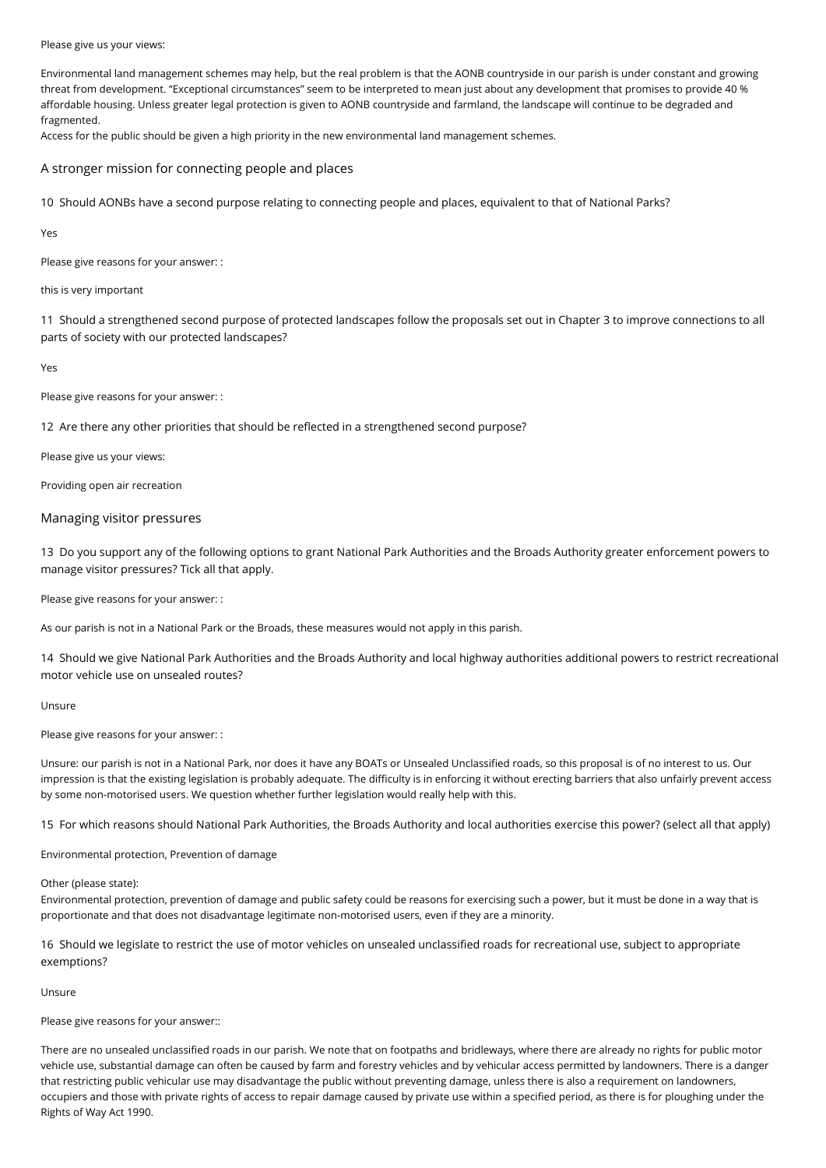#### Please give us your views:

Environmental land management schemes may help, but the real problem is that the AONB countryside in our parish is under constant and growing threat from development. "Exceptional circumstances" seem to be interpreted to mean just about any development that promises to provide 40 % affordable housing. Unless greater legal protection is given to AONB countryside and farmland, the landscape will continue to be degraded and fragmented.

Access for the public should be given a high priority in the new environmental land management schemes.

A stronger mission for connecting people and places

10 Should AONBs have a second purpose relating to connecting people and places, equivalent to that of National Parks?

Yes

Please give reasons for your answer: :

this is very important

11 Should a strengthened second purpose of protected landscapes follow the proposals set out in Chapter 3 to improve connections to all parts of society with our protected landscapes?

Yes

Please give reasons for your answer: :

12 Are there any other priorities that should be reflected in a strengthened second purpose?

Please give us your views:

Providing open air recreation

### Managing visitor pressures

13 Do you support any of the following options to grant National Park Authorities and the Broads Authority greater enforcement powers to manage visitor pressures? Tick all that apply.

Please give reasons for your answer: :

As our parish is not in a National Park or the Broads, these measures would not apply in this parish.

14 Should we give National Park Authorities and the Broads Authority and local highway authorities additional powers to restrict recreational motor vehicle use on unsealed routes?

Unsure

Please give reasons for your answer: :

Unsure: our parish is not in a National Park, nor does it have any BOATs or Unsealed Unclassified roads, so this proposal is of no interest to us. Our impression is that the existing legislation is probably adequate. The difficulty is in enforcing it without erecting barriers that also unfairly prevent access by some non-motorised users. We question whether further legislation would really help with this.

15 For which reasons should National Park Authorities, the Broads Authority and local authorities exercise this power? (select all that apply)

Environmental protection, Prevention of damage

#### Other (please state):

Environmental protection, prevention of damage and public safety could be reasons for exercising such a power, but it must be done in a way that is proportionate and that does not disadvantage legitimate non-motorised users, even if they are a minority.

16 Should we legislate to restrict the use of motor vehicles on unsealed unclassified roads for recreational use, subject to appropriate exemptions?

Unsure

Please give reasons for your answer::

There are no unsealed unclassified roads in our parish. We note that on footpaths and bridleways, where there are already no rights for public motor vehicle use, substantial damage can often be caused by farm and forestry vehicles and by vehicular access permitted by landowners. There is a danger that restricting public vehicular use may disadvantage the public without preventing damage, unless there is also a requirement on landowners, occupiers and those with private rights of access to repair damage caused by private use within a specified period, as there is for ploughing under the Rights of Way Act 1990.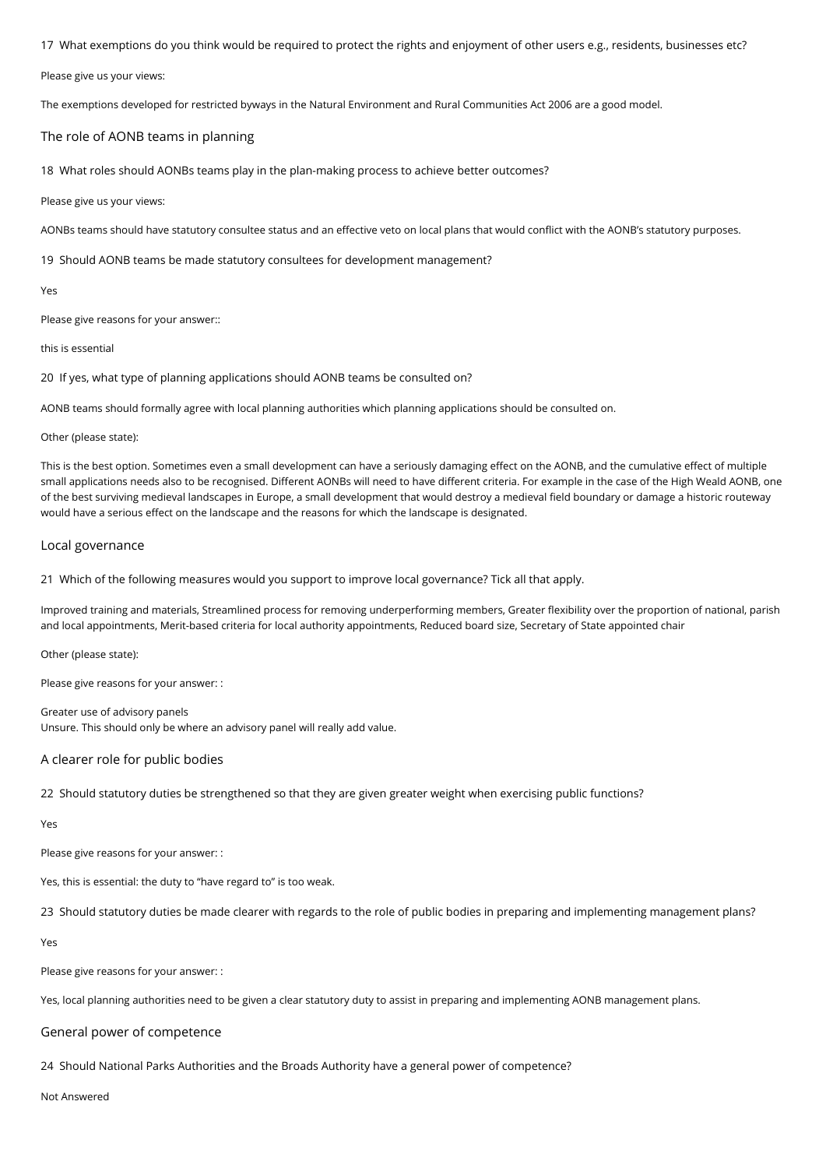17 What exemptions do you think would be required to protect the rights and enjoyment of other users e.g., residents, businesses etc?

Please give us your views:

The exemptions developed for restricted byways in the Natural Environment and Rural Communities Act 2006 are a good model.

#### The role of AONB teams in planning

18 What roles should AONBs teams play in the plan-making process to achieve better outcomes?

Please give us your views:

AONBs teams should have statutory consultee status and an effective veto on local plans that would conflict with the AONB's statutory purposes.

19 Should AONB teams be made statutory consultees for development management?

Yes

Please give reasons for your answer::

this is essential

20 If yes, what type of planning applications should AONB teams be consulted on?

AONB teams should formally agree with local planning authorities which planning applications should be consulted on.

#### Other (please state):

This is the best option. Sometimes even a small development can have a seriously damaging effect on the AONB, and the cumulative effect of multiple small applications needs also to be recognised. Different AONBs will need to have different criteria. For example in the case of the High Weald AONB, one of the best surviving medieval landscapes in Europe, a small development that would destroy a medieval field boundary or damage a historic routeway would have a serious effect on the landscape and the reasons for which the landscape is designated.

# Local governance

21 Which of the following measures would you support to improve local governance? Tick all that apply.

Improved training and materials, Streamlined process for removing underperforming members, Greater flexibility over the proportion of national, parish and local appointments, Merit-based criteria for local authority appointments, Reduced board size, Secretary of State appointed chair

Other (please state):

Please give reasons for your answer: :

Greater use of advisory panels Unsure. This should only be where an advisory panel will really add value.

# A clearer role for public bodies

22 Should statutory duties be strengthened so that they are given greater weight when exercising public functions?

Yes

Please give reasons for your answer: :

Yes, this is essential: the duty to "have regard to" is too weak.

23 Should statutory duties be made clearer with regards to the role of public bodies in preparing and implementing management plans?

Yes

Please give reasons for your answer: :

Yes, local planning authorities need to be given a clear statutory duty to assist in preparing and implementing AONB management plans.

# General power of competence

24 Should National Parks Authorities and the Broads Authority have a general power of competence?

Not Answered